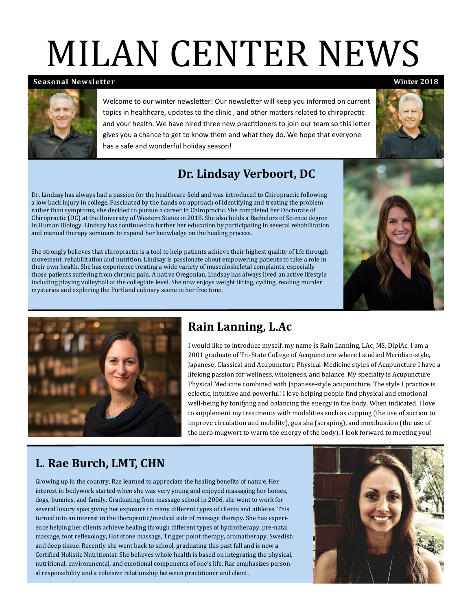# MILAN CENTER NEWS

#### **Seasonal Newsletter**) **Winter 2018**

Welcome to our winter newsletter! Our newsletter will keep you informed on current topics in healthcare, updates to the clinic , and other matters related to chiropractic and your health. We have hired three new practitioners to join our team so this letter gives you a chance to get to know them and what they do. We hope that everyone has a safe and wonderful holiday season!

### **Dr. Lindsay Verboort, DC**

Dr. Lindsay has always had a passion for the healthcare field and was introduced to Chiropractic following a low back injury in college. Fascinated by the hands on approach of identifying and treating the problem rather than symptoms, she decided to pursue a career in Chiropractic. She completed her Doctorate of Chiropractic (DC) at the University of Western States in 2018. She also holds a Bachelors of Science degree in Human Biology. Lindsay has continued to further her education by participating in several rehabilitation and manual therapy seminars to expand her knowledge on the healing process.

She strongly believes that chiropractic is a tool to help patients achieve their highest quality of life through movement, rehabilitation and nutrition. Lindsay is passionate about empowering patients to take a role in their own health. She has experience treating a wide variety of musculoskeletal complaints, especially those patients suffering from chronic pain. A native Oregonian, Lindsay has always lived an active lifestyle including playing volleyball at the collegiate level. She now enjoys weight lifting, cycling, reading murder mysteries and exploring the Portland culinary scene in her free time.





### **Rain Lanning, L.Ac**

I would like to introduce myself, my name is Rain Lanning, LAc, MS, DiplAc. I am a 2001 graduate of Tri-State College of Acupuncture where I studied Meridian-style, Japanese, Classical and Acupuncture Physical-Medicine styles of Acupuncture I have a lifelong passion for wellness, wholeness, and balance. My specialty is Acupuncture Physical Medicine combined with Japanese-style acupuncture. The style I practice is eclectic, intuitive and powerful! I love helping people find physical and emotional well-being by tonifying and balancing the energy in the body. When indicated, I love to supplement my treatments with modalities such as cupping (the use of suction to improve circulation and mobility), gua sha (scraping), and moxibustion (the use of the herb mugwort to warm the energy of the body). I look forward to meeting you!

### **L. Rae Burch, LMT, CHN**

Growing up in the country, Rae learned to appreciate the healing benefits of nature. Her interest in bodywork started when she was very young and enjoyed massaging her horses, dogs, bunnies, and family. Graduating from massage school in 2006, she went to work for several luxury spas giving her exposure to many different types of clients and athletes. This turned into an interest in the therapeutic/medical side of massage therapy. She has experience helping her clients achieve healing through different types of hydrotherapy, pre-natal massage, foot reflexology, Hot stone massage, Trigger point therapy, aromatherapy, Swedish and deep tissue. Recently she went back to school, graduating this past fall and is now a Certified Holistic Nutritionist. She believes whole health is based on integrating the physical, nutritional, environmental, and emotional components of one's life. Rae emphasizes personal responsibility and a cohesive relationship between practitioner and client.